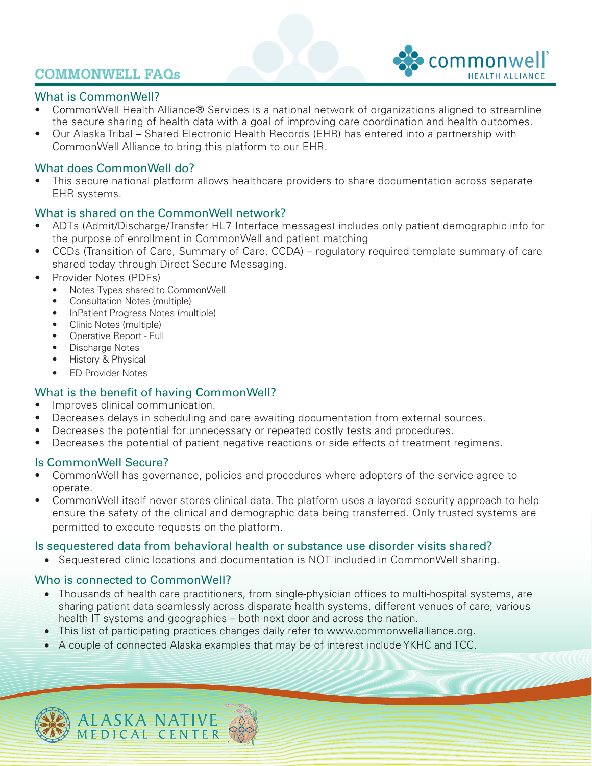## **COMMONWELL FAQs**



### What is CommonWell?

- CommonWell Health Alliance® Services is a national network of organizations aligned to streamline the secure sharing of health data with a goal of improving care coordination and health outcomes.
- Our Alaska Tribal Shared Electronic Health Records (EHR) has entered into a partnership with CommonWell Alliance to bring this platform to our EHR.

### What does CommonWell do?

• This secure national platform allows healthcare providers to share documentation across separate EHR systems.

### What is shared on the CommonWell network?

- ADTs (Admit/Discharge/Transfer HL7 Interface messages) includes only patient demographic info for the purpose of enrollment in CommonWell and patient matching
- CCDs (Transition of Care, Summary of Care, CCDA) regulatory required template summary of care shared today through Direct Secure Messaging.
- Provider Notes (PDFs)
	- Notes Types shared to CommonWell
	- Consultation Notes (multiple)
	- InPatient Progress Notes (multiple)
	- Clinic Notes (multiple)
	- Operative Report Full
	- Discharge Notes
	- History & Physical
	- ED Provider Notes

### What is the benefit of having CommonWell?

- Improves clinical communication.
- Decreases delays in scheduling and care awaiting documentation from external sources.
- Decreases the potential for unnecessary or repeated costly tests and procedures.
- Decreases the potential of patient negative reactions or side effects of treatment regimens.

### Is CommonWell Secure?

- CommonWell has governance, policies and procedures where adopters of the service agree to operate.
- CommonWell itself never stores clinical data. The platform uses a layered security approach to help ensure the safety of the clinical and demographic data being transferred. Only trusted systems are permitted to execute requests on the platform.

### Is sequestered data from behavioral health or substance use disorder visits shared?

• Sequestered clinic locations and documentation is NOT included in CommonWell sharing.

### Who is connected to CommonWell?

- Thousands of health care practitioners, from single-physician offices to multi-hospital systems, are sharing patient data seamlessly across disparate health systems, different venues of care, various health IT systems and geographies – both next door and across the nation.
- This list of participating practices changes daily refer to www.commonwellalliance.org.
- A couple of connected Alaska examples that may be of interest include YKHC and TCC.